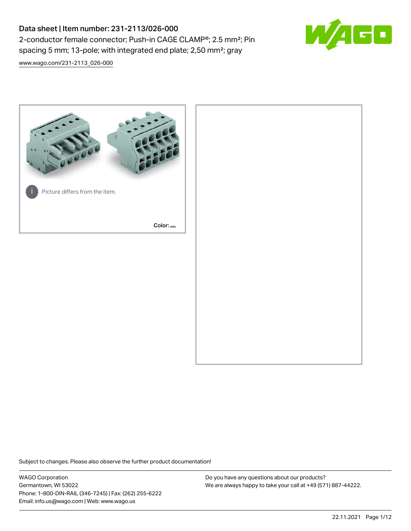# Data sheet | Item number: 231-2113/026-000 2-conductor female connector; Push-in CAGE CLAMP®; 2.5 mm²; Pin spacing 5 mm; 13-pole; with integrated end plate; 2,50 mm²; gray



[www.wago.com/231-2113\\_026-000](http://www.wago.com/231-2113_026-000)



Subject to changes. Please also observe the further product documentation!

WAGO Corporation Germantown, WI 53022 Phone: 1-800-DIN-RAIL (346-7245) | Fax: (262) 255-6222 Email: info.us@wago.com | Web: www.wago.us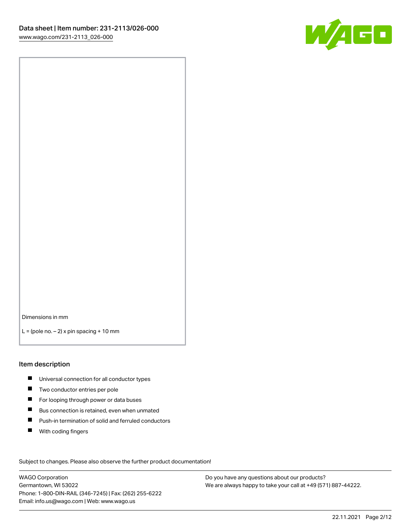

Dimensions in mm

 $L =$  (pole no.  $-2$ ) x pin spacing + 10 mm

#### Item description

- **Universal connection for all conductor types**
- **Two conductor entries per pole**
- $\blacksquare$ For looping through power or data buses
- $\blacksquare$ Bus connection is retained, even when unmated
- $\blacksquare$ Push-in termination of solid and ferruled conductors
- $\blacksquare$ With coding fingers

Subject to changes. Please also observe the further product documentation! Data

WAGO Corporation Germantown, WI 53022 Phone: 1-800-DIN-RAIL (346-7245) | Fax: (262) 255-6222 Email: info.us@wago.com | Web: www.wago.us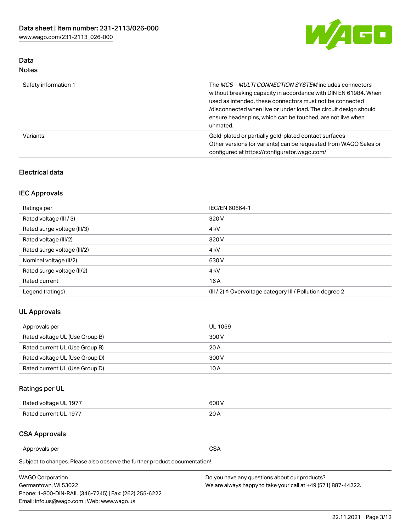

## Data Notes

| Safety information 1 | The <i>MCS – MULTI CONNECTION SYSTEM</i> includes connectors<br>without breaking capacity in accordance with DIN EN 61984. When<br>used as intended, these connectors must not be connected<br>/disconnected when live or under load. The circuit design should<br>ensure header pins, which can be touched, are not live when<br>unmated. |
|----------------------|--------------------------------------------------------------------------------------------------------------------------------------------------------------------------------------------------------------------------------------------------------------------------------------------------------------------------------------------|
| Variants:            | Gold-plated or partially gold-plated contact surfaces<br>Other versions (or variants) can be requested from WAGO Sales or<br>configured at https://configurator.wago.com/                                                                                                                                                                  |

## Electrical data

## IEC Approvals

| Ratings per                 | IEC/EN 60664-1                                                        |
|-----------------------------|-----------------------------------------------------------------------|
| Rated voltage (III / 3)     | 320 V                                                                 |
| Rated surge voltage (III/3) | 4 <sub>k</sub> V                                                      |
| Rated voltage (III/2)       | 320 V                                                                 |
| Rated surge voltage (III/2) | 4 <sub>k</sub> V                                                      |
| Nominal voltage (II/2)      | 630 V                                                                 |
| Rated surge voltage (II/2)  | 4 <sub>k</sub> V                                                      |
| Rated current               | 16A                                                                   |
| Legend (ratings)            | $(III / 2)$ $\triangle$ Overvoltage category III / Pollution degree 2 |

## UL Approvals

| Approvals per                  | UL 1059 |
|--------------------------------|---------|
| Rated voltage UL (Use Group B) | 300 V   |
| Rated current UL (Use Group B) | 20 A    |
| Rated voltage UL (Use Group D) | 300 V   |
| Rated current UL (Use Group D) | 10 A    |

## Ratings per UL

| Rated voltage UL 1977 | 600 V |
|-----------------------|-------|
| Rated current UL 1977 | nn.   |

### CSA Approvals

Approvals per CSA

Subject to changes. Please also observe the further product documentation!

| <b>WAGO Corporation</b>                                | Do you have any questions about our products?                 |
|--------------------------------------------------------|---------------------------------------------------------------|
| Germantown, WI 53022                                   | We are always happy to take your call at +49 (571) 887-44222. |
| Phone: 1-800-DIN-RAIL (346-7245)   Fax: (262) 255-6222 |                                                               |
| Email: info.us@wago.com   Web: www.wago.us             |                                                               |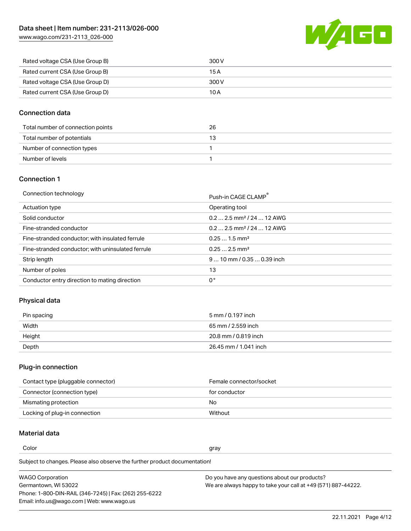WAGO

| www.wago.com/231-2113_026-000 |  |
|-------------------------------|--|
|                               |  |

| Rated voltage CSA (Use Group B) | 300 V |
|---------------------------------|-------|
| Rated current CSA (Use Group B) | 15 A  |
| Rated voltage CSA (Use Group D) | 300 V |
| Rated current CSA (Use Group D) | 10 A  |

## Connection data

| Total number of connection points | 26 |
|-----------------------------------|----|
| Total number of potentials        | 13 |
| Number of connection types        |    |
| Number of levels                  |    |

## Connection 1

| Connection technology |  |
|-----------------------|--|
|                       |  |

| Connection technology                             | Push-in CAGE CLAMP®                   |
|---------------------------------------------------|---------------------------------------|
| Actuation type                                    | Operating tool                        |
| Solid conductor                                   | $0.22.5$ mm <sup>2</sup> / 24  12 AWG |
| Fine-stranded conductor                           | $0.22.5$ mm <sup>2</sup> / 24  12 AWG |
| Fine-stranded conductor; with insulated ferrule   | $0.251.5$ mm <sup>2</sup>             |
| Fine-stranded conductor; with uninsulated ferrule | $0.252.5$ mm <sup>2</sup>             |
| Strip length                                      | $9 10$ mm $/ 0.35 0.39$ inch          |
| Number of poles                                   | 13                                    |
| Conductor entry direction to mating direction     | 0°                                    |

## Physical data

| Pin spacing | 5 mm / 0.197 inch     |
|-------------|-----------------------|
| Width       | 65 mm / 2.559 inch    |
| Height      | 20.8 mm / 0.819 inch  |
| Depth       | 26.45 mm / 1.041 inch |

## Plug-in connection

| Contact type (pluggable connector) | Female connector/socket |
|------------------------------------|-------------------------|
| Connector (connection type)        | for conductor           |
| Mismating protection               | No                      |
| Locking of plug-in connection      | Without                 |

## Material data

Color and the color of the color of the color of the color of the color of the color of the color of the color

Subject to changes. Please also observe the further product documentation! Material group I

| <b>WAGO Corporation</b>                                | Do you have any questions about our products?                 |
|--------------------------------------------------------|---------------------------------------------------------------|
| Germantown, WI 53022                                   | We are always happy to take your call at +49 (571) 887-44222. |
| Phone: 1-800-DIN-RAIL (346-7245)   Fax: (262) 255-6222 |                                                               |
| Email: info.us@wago.com   Web: www.wago.us             |                                                               |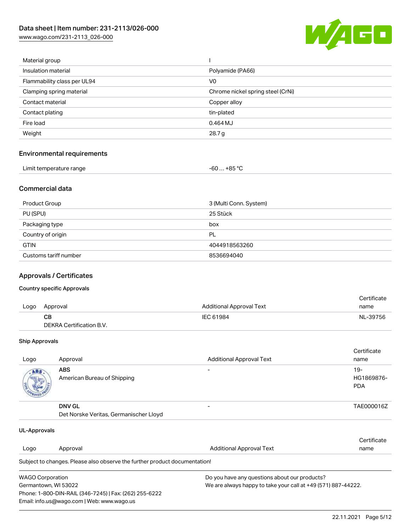[www.wago.com/231-2113\\_026-000](http://www.wago.com/231-2113_026-000)



| Material group              |                                   |
|-----------------------------|-----------------------------------|
| Insulation material         | Polyamide (PA66)                  |
| Flammability class per UL94 | V <sub>0</sub>                    |
| Clamping spring material    | Chrome nickel spring steel (CrNi) |
| Contact material            | Copper alloy                      |
| Contact plating             | tin-plated                        |
| Fire load                   | 0.464 MJ                          |
| Weight                      | 28.7 g                            |
|                             |                                   |

## Environmental requirements

| Limit temperature range | -60  +85 °Ր |
|-------------------------|-------------|
|-------------------------|-------------|

## Commercial data

| Product Group         | 3 (Multi Conn. System) |
|-----------------------|------------------------|
| PU (SPU)              | 25 Stück               |
| Packaging type        | box                    |
| Country of origin     | PL                     |
| <b>GTIN</b>           | 4044918563260          |
| Customs tariff number | 8536694040             |

## Approvals / Certificates

#### Country specific Approvals

|      |                          |                                 | Certificate |
|------|--------------------------|---------------------------------|-------------|
| Logo | Approval                 | <b>Additional Approval Text</b> | name        |
|      | <b>CB</b>                | IEC 61984                       | NL-39756    |
|      | DEKRA Certification B.V. |                                 |             |

#### Ship Approvals

| Logo | Approval                                                | <b>Additional Approval Text</b> | Certificate<br>name                |
|------|---------------------------------------------------------|---------------------------------|------------------------------------|
| ABS. | <b>ABS</b><br>American Bureau of Shipping               |                                 | $19 -$<br>HG1869876-<br><b>PDA</b> |
|      | <b>DNV GL</b><br>Det Norske Veritas, Germanischer Lloyd |                                 | TAE000016Z                         |

| UL-Approvals            |                                                                            |                                               |                                                               |  |
|-------------------------|----------------------------------------------------------------------------|-----------------------------------------------|---------------------------------------------------------------|--|
|                         |                                                                            |                                               | Certificate                                                   |  |
| Logo                    | Approval                                                                   | Additional Approval Text                      | name                                                          |  |
|                         | Subject to changes. Please also observe the further product documentation! |                                               |                                                               |  |
| <b>WAGO Corporation</b> |                                                                            | Do you have any questions about our products? |                                                               |  |
| Germantown, WI 53022    |                                                                            |                                               | We are always happy to take your call at +49 (571) 887-44222. |  |
|                         | Phone: 1-800-DIN-RAIL (346-7245)   Fax: (262) 255-6222                     |                                               |                                                               |  |
|                         | Email: info.us@wago.com   Web: www.wago.us                                 |                                               |                                                               |  |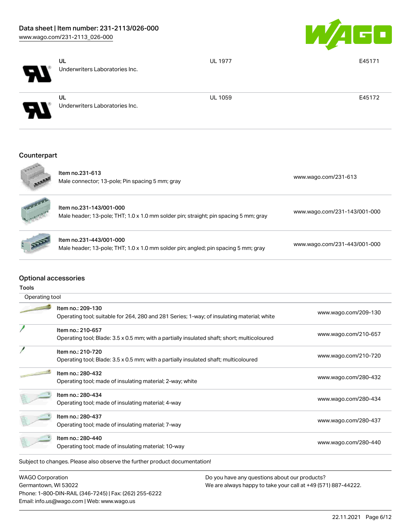

| $\boldsymbol{H}$           | UL<br>Underwriters Laboratories Inc.        | <b>UL 1977</b> | E45171 |
|----------------------------|---------------------------------------------|----------------|--------|
| $\boldsymbol{\mathcal{P}}$ | <b>UL</b><br>Underwriters Laboratories Inc. | <b>UL 1059</b> | E45172 |
|                            |                                             |                |        |

## **Counterpart**

| Item no.231-613<br>Male connector; 13-pole; Pin spacing 5 mm; gray                                              | www.wago.com/231-613         |
|-----------------------------------------------------------------------------------------------------------------|------------------------------|
| ltem no.231-143/001-000<br>Male header; 13-pole; THT; 1.0 x 1.0 mm solder pin; straight; pin spacing 5 mm; gray | www.wago.com/231-143/001-000 |
| ltem no.231-443/001-000<br>Male header; 13-pole; THT; 1.0 x 1.0 mm solder pin; angled; pin spacing 5 mm; gray   | www.wago.com/231-443/001-000 |

## Optional accessories

Tools

| Operating tool |                                                                                                                  |                      |
|----------------|------------------------------------------------------------------------------------------------------------------|----------------------|
|                | Item no.: 209-130<br>Operating tool; suitable for 264, 280 and 281 Series; 1-way; of insulating material; white  | www.wago.com/209-130 |
|                | Item no.: 210-657<br>Operating tool; Blade: 3.5 x 0.5 mm; with a partially insulated shaft; short; multicoloured | www.wago.com/210-657 |
|                | Item no.: 210-720<br>Operating tool; Blade: 3.5 x 0.5 mm; with a partially insulated shaft; multicoloured        | www.wago.com/210-720 |
|                | Item no.: 280-432<br>Operating tool; made of insulating material; 2-way; white                                   | www.wago.com/280-432 |
|                | Item no.: 280-434<br>Operating tool; made of insulating material; 4-way                                          | www.wago.com/280-434 |
|                | Item no.: 280-437<br>Operating tool; made of insulating material; 7-way                                          | www.wago.com/280-437 |
|                | Item no.: 280-440<br>Operating tool; made of insulating material; 10-way                                         | www.wago.com/280-440 |
|                | Subject to changes. Please also observe the further product documentation!                                       |                      |

WAGO Corporation Germantown, WI 53022 Phone: 1-800-DIN-RAIL (346-7245) | Fax: (262) 255-6222 Email: info.us@wago.com | Web: www.wago.us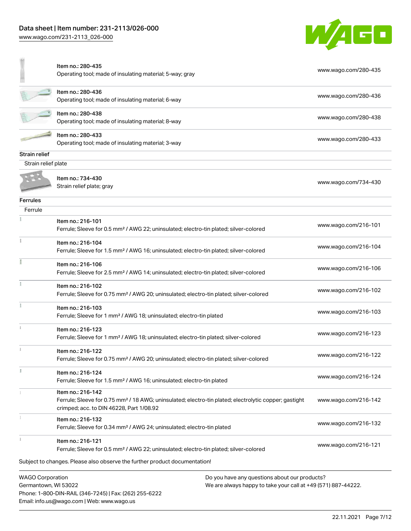[www.wago.com/231-2113\\_026-000](http://www.wago.com/231-2113_026-000)

Email: info.us@wago.com | Web: www.wago.us



|                                                 | Item no.: 280-435<br>Operating tool; made of insulating material; 5-way; gray                                                                                                      | www.wago.com/280-435                                          |
|-------------------------------------------------|------------------------------------------------------------------------------------------------------------------------------------------------------------------------------------|---------------------------------------------------------------|
|                                                 | Item no.: 280-436<br>Operating tool; made of insulating material; 6-way                                                                                                            | www.wago.com/280-436                                          |
|                                                 | Item no.: 280-438<br>Operating tool; made of insulating material; 8-way                                                                                                            | www.wago.com/280-438                                          |
|                                                 | Item no.: 280-433<br>Operating tool; made of insulating material; 3-way                                                                                                            | www.wago.com/280-433                                          |
| <b>Strain relief</b>                            |                                                                                                                                                                                    |                                                               |
| Strain relief plate                             |                                                                                                                                                                                    |                                                               |
|                                                 | Item no.: 734-430<br>Strain relief plate; gray                                                                                                                                     | www.wago.com/734-430                                          |
| <b>Ferrules</b>                                 |                                                                                                                                                                                    |                                                               |
| Ferrule                                         |                                                                                                                                                                                    |                                                               |
|                                                 | Item no.: 216-101<br>Ferrule; Sleeve for 0.5 mm <sup>2</sup> / AWG 22; uninsulated; electro-tin plated; silver-colored                                                             | www.wago.com/216-101                                          |
|                                                 | Item no.: 216-104<br>Ferrule; Sleeve for 1.5 mm <sup>2</sup> / AWG 16; uninsulated; electro-tin plated; silver-colored                                                             | www.wago.com/216-104                                          |
|                                                 | Item no.: 216-106<br>Ferrule; Sleeve for 2.5 mm <sup>2</sup> / AWG 14; uninsulated; electro-tin plated; silver-colored                                                             | www.wago.com/216-106                                          |
|                                                 | Item no.: 216-102<br>Ferrule; Sleeve for 0.75 mm <sup>2</sup> / AWG 20; uninsulated; electro-tin plated; silver-colored                                                            | www.wago.com/216-102                                          |
|                                                 | Item no.: 216-103<br>Ferrule; Sleeve for 1 mm <sup>2</sup> / AWG 18; uninsulated; electro-tin plated                                                                               | www.wago.com/216-103                                          |
|                                                 | Item no.: 216-123<br>Ferrule; Sleeve for 1 mm <sup>2</sup> / AWG 18; uninsulated; electro-tin plated; silver-colored                                                               | www.wago.com/216-123                                          |
|                                                 | Item no.: 216-122<br>Ferrule; Sleeve for 0.75 mm <sup>2</sup> / AWG 20; uninsulated; electro-tin plated; silver-colored                                                            | www.wago.com/216-122                                          |
|                                                 | Item no.: 216-124<br>Ferrule; Sleeve for 1.5 mm <sup>2</sup> / AWG 16; uninsulated; electro-tin plated                                                                             | www.wago.com/216-124                                          |
|                                                 | Item no.: 216-142<br>Ferrule; Sleeve for 0.75 mm <sup>2</sup> / 18 AWG; uninsulated; electro-tin plated; electrolytic copper; gastight<br>crimped; acc. to DIN 46228, Part 1/08.92 | www.wago.com/216-142                                          |
|                                                 | Item no.: 216-132<br>Ferrule; Sleeve for 0.34 mm <sup>2</sup> / AWG 24; uninsulated; electro-tin plated                                                                            | www.wago.com/216-132                                          |
|                                                 | Item no.: 216-121<br>Ferrule; Sleeve for 0.5 mm <sup>2</sup> / AWG 22; uninsulated; electro-tin plated; silver-colored                                                             | www.wago.com/216-121                                          |
|                                                 | Subject to changes. Please also observe the further product documentation!                                                                                                         |                                                               |
| <b>WAGO Corporation</b><br>Germantown, WI 53022 | Do you have any questions about our products?<br>Phone: 1-800-DIN-RAIL (346-7245)   Fax: (262) 255-6222                                                                            | We are always happy to take your call at +49 (571) 887-44222. |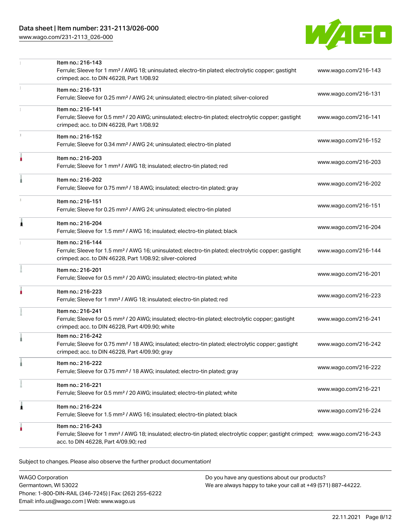[www.wago.com/231-2113\\_026-000](http://www.wago.com/231-2113_026-000)



|   | Item no.: 216-143<br>Ferrule; Sleeve for 1 mm <sup>2</sup> / AWG 18; uninsulated; electro-tin plated; electrolytic copper; gastight<br>crimped; acc. to DIN 46228, Part 1/08.92                         | www.wago.com/216-143 |
|---|---------------------------------------------------------------------------------------------------------------------------------------------------------------------------------------------------------|----------------------|
|   | Item no.: 216-131<br>Ferrule; Sleeve for 0.25 mm <sup>2</sup> / AWG 24; uninsulated; electro-tin plated; silver-colored                                                                                 | www.wago.com/216-131 |
|   | Item no.: 216-141<br>Ferrule; Sleeve for 0.5 mm <sup>2</sup> / 20 AWG; uninsulated; electro-tin plated; electrolytic copper; gastight<br>crimped; acc. to DIN 46228, Part 1/08.92                       | www.wago.com/216-141 |
|   | Item no.: 216-152<br>Ferrule; Sleeve for 0.34 mm <sup>2</sup> / AWG 24; uninsulated; electro-tin plated                                                                                                 | www.wago.com/216-152 |
| ۸ | Item no.: 216-203<br>Ferrule; Sleeve for 1 mm <sup>2</sup> / AWG 18; insulated; electro-tin plated; red                                                                                                 | www.wago.com/216-203 |
|   | Item no.: 216-202<br>Ferrule; Sleeve for 0.75 mm <sup>2</sup> / 18 AWG; insulated; electro-tin plated; gray                                                                                             | www.wago.com/216-202 |
|   | Item no.: 216-151<br>Ferrule; Sleeve for 0.25 mm <sup>2</sup> / AWG 24; uninsulated; electro-tin plated                                                                                                 | www.wago.com/216-151 |
| 1 | Item no.: 216-204<br>Ferrule; Sleeve for 1.5 mm <sup>2</sup> / AWG 16; insulated; electro-tin plated; black                                                                                             | www.wago.com/216-204 |
|   | Item no.: 216-144<br>Ferrule; Sleeve for 1.5 mm <sup>2</sup> / AWG 16; uninsulated; electro-tin plated; electrolytic copper; gastight<br>crimped; acc. to DIN 46228, Part 1/08.92; silver-colored       | www.wago.com/216-144 |
|   | Item no.: 216-201<br>Ferrule; Sleeve for 0.5 mm <sup>2</sup> / 20 AWG; insulated; electro-tin plated; white                                                                                             | www.wago.com/216-201 |
|   | Item no.: 216-223<br>Ferrule; Sleeve for 1 mm <sup>2</sup> / AWG 18; insulated; electro-tin plated; red                                                                                                 | www.wago.com/216-223 |
|   | Item no.: 216-241<br>Ferrule; Sleeve for 0.5 mm <sup>2</sup> / 20 AWG; insulated; electro-tin plated; electrolytic copper; gastight<br>crimped; acc. to DIN 46228, Part 4/09.90; white                  | www.wago.com/216-241 |
|   | Item no.: 216-242<br>Ferrule; Sleeve for 0.75 mm <sup>2</sup> / 18 AWG; insulated; electro-tin plated; electrolytic copper; gastight<br>crimped; acc. to DIN 46228, Part 4/09.90; gray                  | www.wago.com/216-242 |
|   | Item no.: 216-222<br>Ferrule; Sleeve for 0.75 mm <sup>2</sup> / 18 AWG; insulated; electro-tin plated; gray                                                                                             | www.wago.com/216-222 |
|   | Item no.: 216-221<br>Ferrule; Sleeve for 0.5 mm <sup>2</sup> / 20 AWG; insulated; electro-tin plated; white                                                                                             | www.wago.com/216-221 |
| 1 | Item no.: 216-224<br>Ferrule; Sleeve for 1.5 mm <sup>2</sup> / AWG 16; insulated; electro-tin plated; black                                                                                             | www.wago.com/216-224 |
|   | Item no.: 216-243<br>Ferrule; Sleeve for 1 mm <sup>2</sup> / AWG 18; insulated; electro-tin plated; electrolytic copper; gastight crimped; www.wago.com/216-243<br>acc. to DIN 46228, Part 4/09.90; red |                      |
|   |                                                                                                                                                                                                         |                      |

Subject to changes. Please also observe the further product documentation!

WAGO Corporation Germantown, WI 53022 Phone: 1-800-DIN-RAIL (346-7245) | Fax: (262) 255-6222 Email: info.us@wago.com | Web: www.wago.us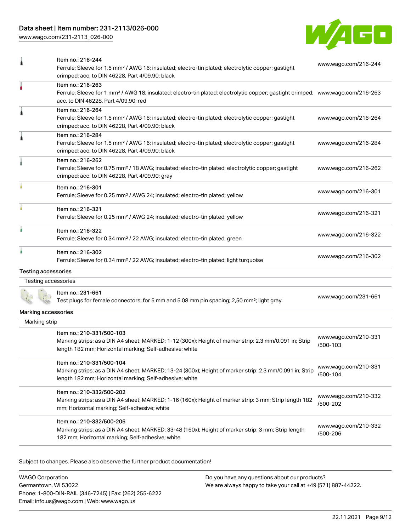## Data sheet | Item number: 231-2113/026-000

[www.wago.com/231-2113\\_026-000](http://www.wago.com/231-2113_026-000)



| 1                          | Item no.: 216-244<br>Ferrule; Sleeve for 1.5 mm <sup>2</sup> / AWG 16; insulated; electro-tin plated; electrolytic copper; gastight<br>crimped; acc. to DIN 46228, Part 4/09.90; black                  | www.wago.com/216-244             |
|----------------------------|---------------------------------------------------------------------------------------------------------------------------------------------------------------------------------------------------------|----------------------------------|
| ۸                          | Item no.: 216-263<br>Ferrule; Sleeve for 1 mm <sup>2</sup> / AWG 18; insulated; electro-tin plated; electrolytic copper; gastight crimped; www.wago.com/216-263<br>acc. to DIN 46228, Part 4/09.90; red |                                  |
| 1                          | Item no.: 216-264<br>Ferrule; Sleeve for 1.5 mm <sup>2</sup> / AWG 16; insulated; electro-tin plated; electrolytic copper; gastight<br>crimped; acc. to DIN 46228, Part 4/09.90; black                  | www.wago.com/216-264             |
| 1                          | Item no.: 216-284<br>Ferrule; Sleeve for 1.5 mm <sup>2</sup> / AWG 16; insulated; electro-tin plated; electrolytic copper; gastight<br>crimped; acc. to DIN 46228, Part 4/09.90; black                  | www.wago.com/216-284             |
|                            | Item no.: 216-262<br>Ferrule; Sleeve for 0.75 mm <sup>2</sup> / 18 AWG; insulated; electro-tin plated; electrolytic copper; gastight<br>crimped; acc. to DIN 46228, Part 4/09.90; gray                  | www.wago.com/216-262             |
|                            | Item no.: 216-301<br>Ferrule; Sleeve for 0.25 mm <sup>2</sup> / AWG 24; insulated; electro-tin plated; yellow                                                                                           | www.wago.com/216-301             |
|                            | Item no.: 216-321<br>Ferrule; Sleeve for 0.25 mm <sup>2</sup> / AWG 24; insulated; electro-tin plated; yellow                                                                                           | www.wago.com/216-321             |
| ٠                          | Item no.: 216-322<br>Ferrule; Sleeve for 0.34 mm <sup>2</sup> / 22 AWG; insulated; electro-tin plated; green                                                                                            | www.wago.com/216-322             |
| ۸                          | Item no.: 216-302<br>Ferrule; Sleeve for 0.34 mm <sup>2</sup> / 22 AWG; insulated; electro-tin plated; light turquoise                                                                                  | www.wago.com/216-302             |
| <b>Testing accessories</b> |                                                                                                                                                                                                         |                                  |
| Testing accessories        |                                                                                                                                                                                                         |                                  |
|                            | Item no.: 231-661<br>Test plugs for female connectors; for 5 mm and 5.08 mm pin spacing; 2,50 mm <sup>2</sup> ; light gray                                                                              | www.wago.com/231-661             |
| Marking accessories        |                                                                                                                                                                                                         |                                  |
| Marking strip              |                                                                                                                                                                                                         |                                  |
|                            | Item no.: 210-331/500-103<br>Marking strips; as a DIN A4 sheet; MARKED; 1-12 (300x); Height of marker strip: 2.3 mm/0.091 in; Strip<br>length 182 mm; Horizontal marking; Self-adhesive; white          | www.wago.com/210-331<br>/500-103 |
|                            | Item no.: 210-331/500-104<br>Marking strips; as a DIN A4 sheet; MARKED; 13-24 (300x); Height of marker strip: 2.3 mm/0.091 in; Strip<br>length 182 mm; Horizontal marking; Self-adhesive; white         | www.wago.com/210-331<br>/500-104 |
|                            | Item no.: 210-332/500-202<br>Marking strips; as a DIN A4 sheet; MARKED; 1-16 (160x); Height of marker strip: 3 mm; Strip length 182<br>mm; Horizontal marking; Self-adhesive; white                     | www.wago.com/210-332<br>/500-202 |
|                            | Item no.: 210-332/500-206<br>Marking strips; as a DIN A4 sheet; MARKED; 33-48 (160x); Height of marker strip: 3 mm; Strip length<br>182 mm; Horizontal marking; Self-adhesive; white                    | www.wago.com/210-332<br>/500-206 |

Subject to changes. Please also observe the further product documentation!

WAGO Corporation Germantown, WI 53022 Phone: 1-800-DIN-RAIL (346-7245) | Fax: (262) 255-6222 Email: info.us@wago.com | Web: www.wago.us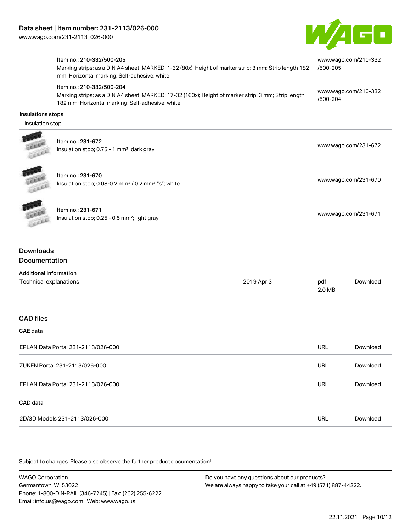

|                   | Item no.: 210-332/500-205<br>Marking strips; as a DIN A4 sheet; MARKED; 1-32 (80x); Height of marker strip: 3 mm; Strip length 182<br>mm; Horizontal marking; Self-adhesive; white   | www.wago.com/210-332<br>/500-205 |
|-------------------|--------------------------------------------------------------------------------------------------------------------------------------------------------------------------------------|----------------------------------|
|                   | Item no.: 210-332/500-204<br>Marking strips; as a DIN A4 sheet; MARKED; 17-32 (160x); Height of marker strip: 3 mm; Strip length<br>182 mm; Horizontal marking; Self-adhesive; white | www.wago.com/210-332<br>/500-204 |
| Insulations stops |                                                                                                                                                                                      |                                  |
| Insulation stop   |                                                                                                                                                                                      |                                  |
| Line              | Item no.: 231-672<br>Insulation stop; 0.75 - 1 mm <sup>2</sup> ; dark gray                                                                                                           | www.wago.com/231-672             |
| <b>UESCA</b>      | Item no.: 231-670<br>Insulation stop; 0.08-0.2 mm <sup>2</sup> / 0.2 mm <sup>2</sup> "s"; white                                                                                      | www.wago.com/231-670             |
| <b>ALLER</b>      | Item no.: 231-671<br>Insulation stop; 0.25 - 0.5 mm <sup>2</sup> ; light gray                                                                                                        | www.wago.com/231-671             |

## Documentation

| <b>Additional Information</b> |            |        |          |
|-------------------------------|------------|--------|----------|
| Technical explanations        | 2019 Apr 3 | pdf    | Download |
|                               |            | 2.0 MB |          |

### CAD files

#### CAE data

| EPLAN Data Portal 231-2113/026-000 |     | Download |
|------------------------------------|-----|----------|
| ZUKEN Portal 231-2113/026-000      | URL | Download |
| EPLAN Data Portal 231-2113/026-000 | URL | Download |
| CAD data                           |     |          |
| 2D/3D Models 231-2113/026-000      | URL | Download |

Subject to changes. Please also observe the further product documentation!

WAGO Corporation Germantown, WI 53022 Phone: 1-800-DIN-RAIL (346-7245) | Fax: (262) 255-6222 Email: info.us@wago.com | Web: www.wago.us Do you have any questions about our products? We are always happy to take your call at +49 (571) 887-44222.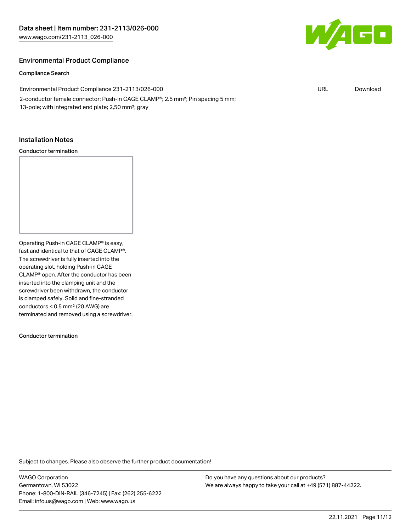

### Environmental Product Compliance

#### Compliance Search

| Environmental Product Compliance 231-2113/026-000                                                       | URL | Download |
|---------------------------------------------------------------------------------------------------------|-----|----------|
| 2-conductor female connector; Push-in CAGE CLAMP <sup>®</sup> ; 2.5 mm <sup>2</sup> ; Pin spacing 5 mm; |     |          |
| 13-pole; with integrated end plate; 2,50 mm <sup>2</sup> ; gray                                         |     |          |

#### Installation Notes

#### Conductor termination

Operating Push-in CAGE CLAMP® is easy, fast and identical to that of CAGE CLAMP®. The screwdriver is fully inserted into the operating slot, holding Push-in CAGE CLAMP® open. After the conductor has been inserted into the clamping unit and the screwdriver been withdrawn, the conductor is clamped safely. Solid and fine-stranded conductors < 0.5 mm² (20 AWG) are terminated and removed using a screwdriver.

Conductor termination

Subject to changes. Please also observe the further product documentation!

WAGO Corporation Germantown, WI 53022 Phone: 1-800-DIN-RAIL (346-7245) | Fax: (262) 255-6222 Email: info.us@wago.com | Web: www.wago.us